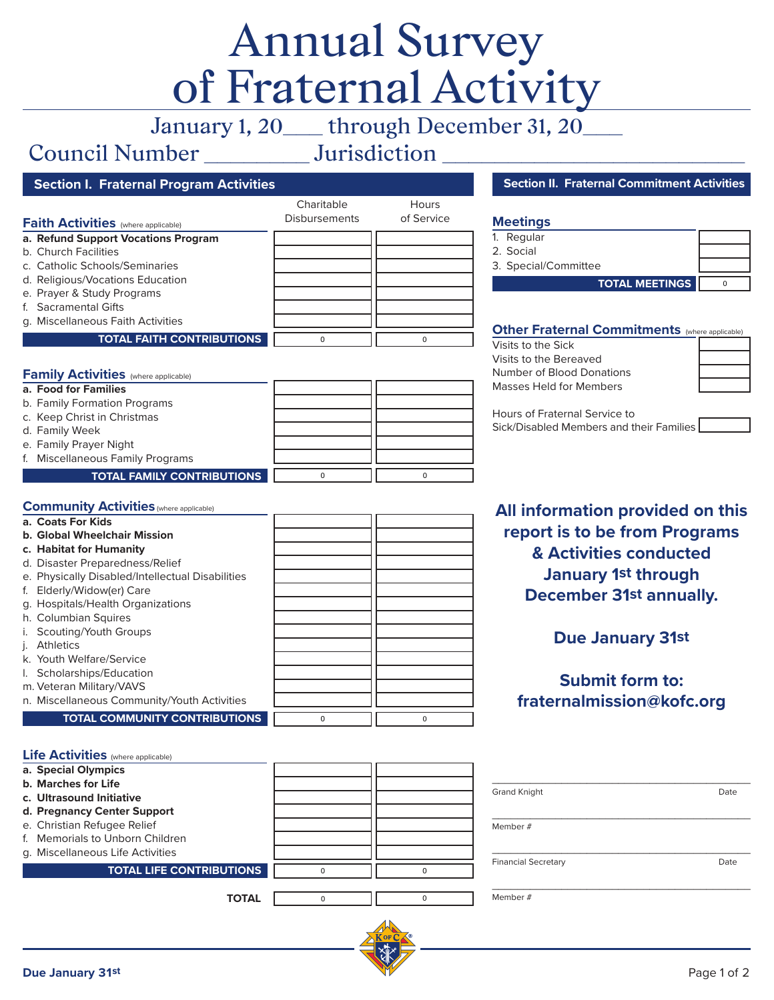# Annual Survey of Fraternal Activity

January 1, 20\_\_\_ through December 31, 20\_\_\_

## Council Number \_\_\_\_\_\_\_\_ Jurisdiction \_\_\_\_\_\_\_\_\_\_\_\_\_\_\_\_\_\_\_\_\_\_\_

|                                            | Charitable           | <b>Hours</b> |
|--------------------------------------------|----------------------|--------------|
| <b>Faith Activities</b> (where applicable) | <b>Disbursements</b> | of Service   |
| a. Refund Support Vocations Program        |                      |              |
| b. Church Facilities                       |                      |              |
| c. Catholic Schools/Seminaries             |                      |              |
| d. Religious/Vocations Education           |                      |              |
| e. Prayer & Study Programs                 |                      |              |
| f. Sacramental Gifts                       |                      |              |
| g. Miscellaneous Faith Activities          |                      |              |
| <b>TOTAL FAITH CONTRIBUTIONS</b>           | 0                    |              |

Charitable

#### **Family Activities** (where applicable)

| a. Food for Families              |  |
|-----------------------------------|--|
| b. Family Formation Programs      |  |
| c. Keep Christ in Christmas       |  |
| d. Family Week                    |  |
| e. Family Prayer Night            |  |
| f. Miscellaneous Family Programs  |  |
| <b>TOTAL FAMILY CONTRIBUTIONS</b> |  |

#### **Section I. Fraternal Program Activities Section II. Fraternal Commitment Activities Section II. Fraternal Commitment Activities**

#### **Meetings**

| 1. Regular            |  |
|-----------------------|--|
| 2. Social             |  |
| 3. Special/Committee  |  |
| <b>TOTAL MEETINGS</b> |  |

#### **Other Fraternal Commitments** (where applicable)

| Visits to the Sick        |  |
|---------------------------|--|
| Visits to the Bereaved    |  |
| Number of Blood Donations |  |
| Masses Held for Members   |  |
|                           |  |

| Hours of Fraternal Service to            |
|------------------------------------------|
| Sick/Disabled Members and their Families |

#### **Community Activities** (where applicable)

| a. Coats For Kids                                |          |          |
|--------------------------------------------------|----------|----------|
| <b>b. Global Wheelchair Mission</b>              |          |          |
| c. Habitat for Humanity                          |          |          |
| d. Disaster Preparedness/Relief                  |          |          |
| e. Physically Disabled/Intellectual Disabilities |          |          |
| Elderly/Widow(er) Care<br>f.                     |          |          |
| g. Hospitals/Health Organizations                |          |          |
| h. Columbian Squires                             |          |          |
| Scouting/Youth Groups                            |          |          |
| <b>Athletics</b>                                 |          |          |
| k. Youth Welfare/Service                         |          |          |
| Scholarships/Education<br>I.                     |          |          |
| m. Veteran Military/VAVS                         |          |          |
| n. Miscellaneous Community/Youth Activities      |          |          |
| <b>TOTAL COMMUNITY CONTRIBUTIONS</b>             | $\Omega$ | $\Omega$ |

### **All information provided on this report is to be from Programs & Activities conducted January 1st through December 31st annually.**

#### **Due January 31st**

#### **Submit form to: fraternalmission@kofc.org**

| <b>Life Activities</b> (where applicable) |   |          |                            |      |
|-------------------------------------------|---|----------|----------------------------|------|
| a. Special Olympics                       |   |          |                            |      |
| <b>b. Marches for Life</b>                |   |          | <b>Grand Knight</b>        | Date |
| c. Ultrasound Initiative                  |   |          |                            |      |
| d. Pregnancy Center Support               |   |          |                            |      |
| e. Christian Refugee Relief               |   |          | Member #                   |      |
| f. Memorials to Unborn Children           |   |          |                            |      |
| g. Miscellaneous Life Activities          |   |          | <b>Financial Secretary</b> | Date |
| <b>TOTAL LIFE CONTRIBUTIONS</b>           |   |          |                            |      |
|                                           |   |          |                            |      |
| <b>TOTAL</b>                              | U | $\Omega$ | Member #                   |      |
|                                           |   |          |                            |      |
|                                           |   |          |                            |      |